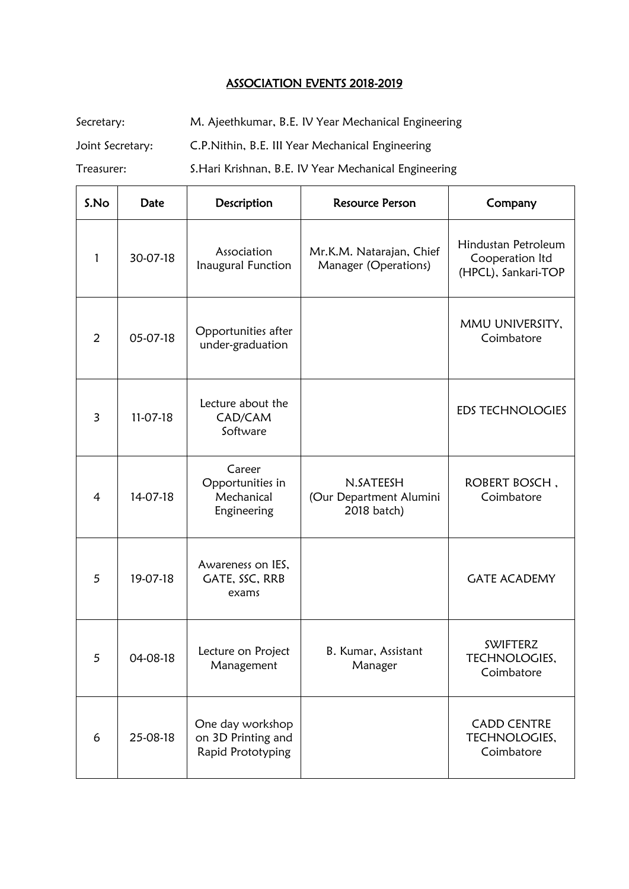## ASSOCIATION EVENTS 2018-2019

Secretary: M. Ajeethkumar, B.E. IV Year Mechanical Engineering

Joint Secretary: C.P.Nithin, B.E. III Year Mechanical Engineering

Treasurer: S.Hari Krishnan, B.E. IV Year Mechanical Engineering

| S.No           | Date     | Description                                                 | <b>Resource Person</b>                              | Company                                                       |
|----------------|----------|-------------------------------------------------------------|-----------------------------------------------------|---------------------------------------------------------------|
| 1              | 30-07-18 | Association<br>Inaugural Function                           | Mr.K.M. Natarajan, Chief<br>Manager (Operations)    | Hindustan Petroleum<br>Cooperation Itd<br>(HPCL), Sankari-TOP |
| $\overline{2}$ | 05-07-18 | Opportunities after<br>under-graduation                     |                                                     | MMU UNIVERSITY,<br>Coimbatore                                 |
| 3              | 11-07-18 | Lecture about the<br>CAD/CAM<br>Software                    |                                                     | <b>EDS TECHNOLOGIES</b>                                       |
| $\overline{4}$ | 14-07-18 | Career<br>Opportunities in<br>Mechanical<br>Engineering     | N.SATEESH<br>(Our Department Alumini<br>2018 batch) | ROBERT BOSCH,<br>Coimbatore                                   |
| 5              | 19-07-18 | Awareness on IES,<br>GATE, SSC, RRB<br>exams                |                                                     | <b>GATE ACADEMY</b>                                           |
| 5              | 04-08-18 | Lecture on Project<br>Management                            | B. Kumar, Assistant<br>Manager                      | <b>SWIFTERZ</b><br>TECHNOLOGIES.<br>Coimbatore                |
| 6              | 25-08-18 | One day workshop<br>on 3D Printing and<br>Rapid Prototyping |                                                     | <b>CADD CENTRE</b><br>TECHNOLOGIES,<br>Coimbatore             |